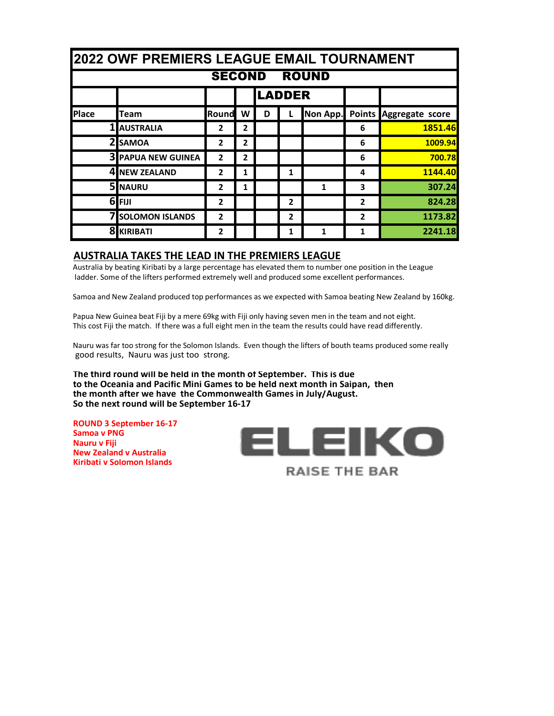|              | <b>2022 OWF PREMIERS LEAGUE EMAIL TOURNAMENT</b> |                |                |   |                |              |                |                        |  |  |
|--------------|--------------------------------------------------|----------------|----------------|---|----------------|--------------|----------------|------------------------|--|--|
|              | <b>SECOND</b><br><b>ROUND</b>                    |                |                |   |                |              |                |                        |  |  |
|              |                                                  |                |                |   | <b>LADDER</b>  |              |                |                        |  |  |
| <b>Place</b> | <b>Team</b>                                      | Round          | W              | D |                | Non App.     |                | Points Aggregate score |  |  |
|              | <b>1 AUSTRALIA</b>                               | 2              | $\overline{2}$ |   |                |              | 6              | 1851.46                |  |  |
|              | 2 <sub>I</sub> SAMOA                             | $\overline{2}$ | $\overline{2}$ |   |                |              | 6              | 1009.94                |  |  |
|              | <b>3 PAPUA NEW GUINEA</b>                        | $\overline{2}$ | $\overline{2}$ |   |                |              | 6              | 700.78                 |  |  |
|              | 4 NEW ZEALAND                                    | $\mathbf{z}$   | 1              |   | 1              |              | 4              | 1144.40                |  |  |
|              | 5 NAURU                                          | $\overline{2}$ | 1              |   |                | $\mathbf{1}$ | 3              | 307.24                 |  |  |
|              | 6FIJI                                            | $\overline{2}$ |                |   | $\overline{2}$ |              | $\overline{2}$ | 824.28                 |  |  |
|              | <b>7 SOLOMON ISLANDS</b>                         | $\overline{2}$ |                |   | $\overline{2}$ |              | $\overline{2}$ | 1173.82                |  |  |
|              | <b>8 KIRIBATI</b>                                | 2              |                |   | 1              | 1            | 1              | 2241.18                |  |  |

#### **AUSTRALIA TAKES THE LEAD IN THE PREMIERS LEAGUE**

Australia by beating Kiribati by a large percentage has elevated them to number one position in the League ladder. Some of the lifters performed extremely well and produced some excellent performances.

Samoa and New Zealand produced top performances as we expected with Samoa beating New Zealand by 160kg.

Papua New Guinea beat Fiji by a mere 69kg with Fiji only having seven men in the team and not eight. This cost Fiji the match. If there was a full eight men in the team the results could have read differently.

Nauru was far too strong for the Solomon Islands. Even though the lifters of bouth teams produced some really good results, Nauru was just too strong.

**The third round will be held in the month of September. This is due to the Oceania and Pacific Mini Games to be held next month in Saipan, then the month after we have the Commonwealth Games in July/August. So the next round will be September 16-17**

**ROUND 3 September 16-17 Samoa v PNG Nauru v Fiji New Zealand v Australia Kiribati v Solomon Islands**

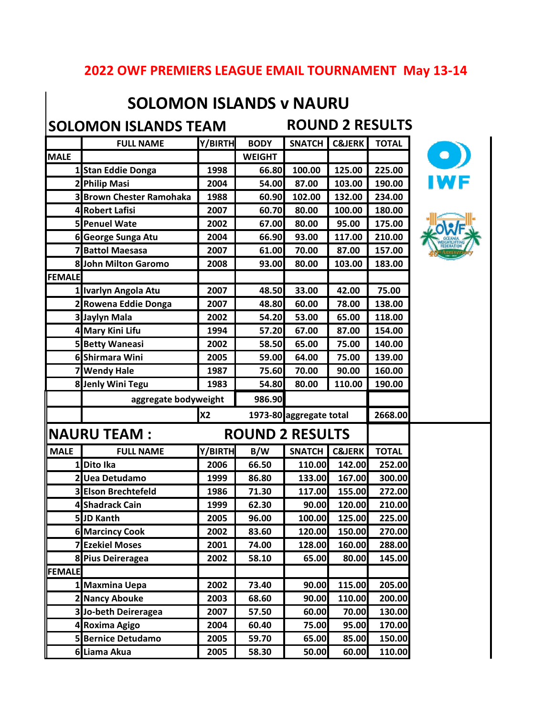#### **2022 OWF PREMIERS LEAGUE EMAIL TOURNAMENT May 13-14**

### **SOLOMON ISLANDS v NAURU**

**SOLOMON ISLANDS TEAM ROUND 2 RESULTS**

|               | <b>FULL NAME</b>                | Y/BIRTH   | <b>BODY</b>             | <b>SNATCH</b> | <b>C&amp;JERK</b> | <b>TOTAL</b> |  |
|---------------|---------------------------------|-----------|-------------------------|---------------|-------------------|--------------|--|
| <b>MALE</b>   |                                 |           | <b>WEIGHT</b>           |               |                   |              |  |
|               | 1 Stan Eddie Donga              | 1998      | 66.80                   | 100.00        | 125.00            | 225.00       |  |
|               | 2 Philip Masi                   | 2004      | 54.00                   | 87.00         | 103.00            | 190.00       |  |
|               | <b>3 Brown Chester Ramohaka</b> | 1988      | 60.90                   | 102.00        | 132.00            | 234.00       |  |
|               | 4 Robert Lafisi                 | 2007      | 60.70                   | 80.00         | 100.00            | 180.00       |  |
|               | 5 Penuel Wate                   | 2002      | 67.00                   | 80.00         | 95.00             | 175.00       |  |
|               | 6 George Sunga Atu              | 2004      | 66.90                   | 93.00         | 117.00            | 210.00       |  |
|               | 7 Battol Maesasa                | 2007      | 61.00                   | 70.00         | 87.00             | 157.00       |  |
|               | 8 John Milton Garomo            | 2008      | 93.00                   | 80.00         | 103.00            | 183.00       |  |
| <b>FEMALE</b> |                                 |           |                         |               |                   |              |  |
|               | 1 Ivarlyn Angola Atu            | 2007      | 48.50                   | 33.00         | 42.00             | 75.00        |  |
|               | 2 Rowena Eddie Donga            | 2007      | 48.80                   | 60.00         | 78.00             | 138.00       |  |
|               | 3 Jaylyn Mala                   | 2002      | 54.20                   | 53.00         | 65.00             | 118.00       |  |
|               | 4 Mary Kini Lifu                | 1994      | 57.20                   | 67.00         | 87.00             | 154.00       |  |
|               | <b>5 Betty Waneasi</b>          | 2002      | 58.50                   | 65.00         | 75.00             | 140.00       |  |
|               | 6 Shirmara Wini                 | 2005      | 59.00                   | 64.00         | 75.00             | 139.00       |  |
|               | 7 Wendy Hale                    | 1987      | 75.60                   | 70.00         | 90.00             | 160.00       |  |
|               | 8 Jenly Wini Tegu               | 1983      | 54.80                   | 80.00         | 110.00            | 190.00       |  |
|               | aggregate bodyweight            |           | 986.90                  |               |                   |              |  |
|               |                                 | <b>X2</b> | 1973-80 aggregate total | 2668.00       |                   |              |  |
|               | <b>NAURU TEAM:</b>              |           | <b>ROUND 2 RESULTS</b>  |               |                   |              |  |
| <b>MALE</b>   | <b>FULL NAME</b>                | Y/BIRTH   | B/W                     | <b>SNATCH</b> | <b>C&amp;JERK</b> | <b>TOTAL</b> |  |
|               | 1 Dito Ika                      | 2006      | 66.50                   | 110.00        | 142.00            | 252.00       |  |
|               | 2 Uea Detudamo                  | 1999      | 86.80                   | 133.00        | 167.00            | 300.00       |  |
|               | 3 Elson Brechtefeld             | 1986      | 71.30                   | 117.00        | 155.00            | 272.00       |  |
|               | 4 Shadrack Cain                 | 1999      | 62.30                   | 90.00         | 120.00            | 210.00       |  |
|               | 5JD Kanth                       | 2005      | 96.00                   | 100.00        | 125.00            | 225.00       |  |
|               | <b>6 Marcincy Cook</b>          | 2002      | 83.60                   | 120.00        | 150.00            | 270.00       |  |
|               | <b>7 Ezekiel Moses</b>          | 2001      | 74.00                   | 128.00        | 160.00            | 288.00       |  |
|               | 8 Pius Deireragea               | 2002      | 58.10                   | 65.00         | 80.00             | 145.00       |  |
| <b>FEMALE</b> |                                 |           |                         |               |                   |              |  |
|               | 1 Maxmina Uepa                  | 2002      | 73.40                   | 90.00         | 115.00            | 205.00       |  |
|               | 2 Nancy Abouke                  | 2003      | 68.60                   | 90.00         | 110.00            | 200.00       |  |
|               |                                 | 2007      | 57.50                   | 60.00         | 70.00             | 130.00       |  |
|               | 3 Jo-beth Deireragea            |           |                         |               |                   |              |  |
|               | 4 Roxima Agigo                  | 2004      | 60.40                   | 75.00         | 95.00             | 170.00       |  |
|               | <b>5 Bernice Detudamo</b>       | 2005      | 59.70                   | 65.00         | 85.00             | 150.00       |  |

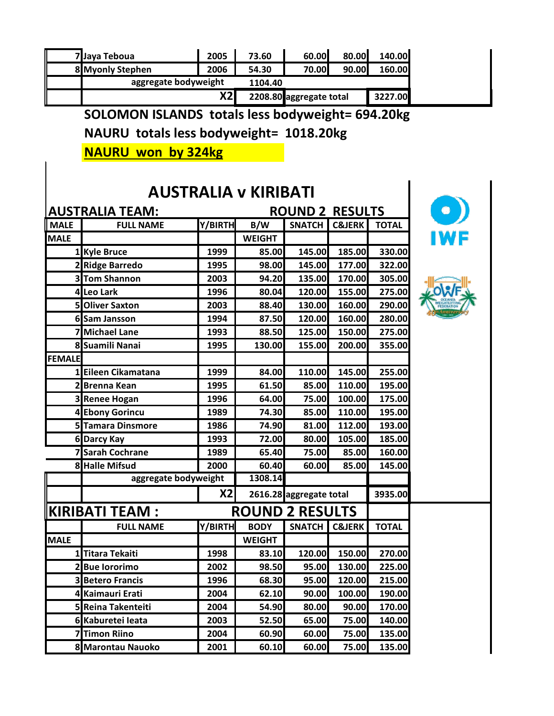|                                                  | 7 Jaya Teboua                                    | 2005    | 73.60                  | 60.00                   | 80.00             | 140.00       |  |  |  |  |  |
|--------------------------------------------------|--------------------------------------------------|---------|------------------------|-------------------------|-------------------|--------------|--|--|--|--|--|
|                                                  | 8 Myonly Stephen                                 | 2006    | 54.30                  | 70.00                   | 90.00             | 160.00       |  |  |  |  |  |
|                                                  | aggregate bodyweight                             |         | 1104.40                |                         |                   |              |  |  |  |  |  |
|                                                  |                                                  | X2      |                        | 2208.80 aggregate total |                   | 3227.00      |  |  |  |  |  |
|                                                  | SOLOMON ISLANDS totals less bodyweight= 694.20kg |         |                        |                         |                   |              |  |  |  |  |  |
|                                                  |                                                  |         |                        |                         |                   |              |  |  |  |  |  |
|                                                  | NAURU totals less bodyweight= 1018.20kg          |         |                        |                         |                   |              |  |  |  |  |  |
|                                                  | <b>NAURU won by 324kg</b>                        |         |                        |                         |                   |              |  |  |  |  |  |
|                                                  |                                                  |         |                        |                         |                   |              |  |  |  |  |  |
|                                                  |                                                  |         |                        |                         |                   |              |  |  |  |  |  |
| <b>AUSTRALIA v KIRIBATI</b>                      |                                                  |         |                        |                         |                   |              |  |  |  |  |  |
| <b>AUSTRALIA TEAM:</b><br><b>ROUND 2 RESULTS</b> |                                                  |         |                        |                         |                   |              |  |  |  |  |  |
| <b>MALE</b>                                      | <b>FULL NAME</b>                                 | Y/BIRTH | B/W                    | <b>SNATCH</b>           | <b>C&amp;JERK</b> | <b>TOTAL</b> |  |  |  |  |  |
| <b>MALE</b>                                      |                                                  |         | <b>WEIGHT</b>          |                         |                   |              |  |  |  |  |  |
|                                                  | 1 Kyle Bruce                                     | 1999    | 85.00                  | 145.00                  | 185.00            | 330.00       |  |  |  |  |  |
|                                                  | 2 Ridge Barredo                                  | 1995    | 98.00                  | 145.00                  | 177.00            | 322.00       |  |  |  |  |  |
|                                                  | 3 Tom Shannon                                    | 2003    | 94.20                  | 135.00                  | 170.00            | 305.00       |  |  |  |  |  |
|                                                  | 4 Leo Lark                                       | 1996    | 80.04                  | 120.00                  | 155.00            | 275.00       |  |  |  |  |  |
|                                                  | 5 Oliver Saxton                                  | 2003    | 88.40                  | 130.00                  | 160.00            | 290.00       |  |  |  |  |  |
|                                                  | 6 Sam Jansson                                    | 1994    | 87.50                  | 120.00                  | 160.00            | 280.00       |  |  |  |  |  |
|                                                  | 7 Michael Lane                                   | 1993    | 88.50                  | 125.00                  | 150.00            | 275.00       |  |  |  |  |  |
|                                                  | 8 Suamili Nanai                                  | 1995    | 130.00                 | 155.00                  | 200.00            | 355.00       |  |  |  |  |  |
| <b>FEMALE</b>                                    |                                                  |         |                        |                         |                   |              |  |  |  |  |  |
|                                                  | Eileen Cikamatana                                | 1999    | 84.00                  | 110.00                  | 145.00            | 255.00       |  |  |  |  |  |
|                                                  | 2 Brenna Kean                                    | 1995    | 61.50                  | 85.00                   | 110.00            | 195.00       |  |  |  |  |  |
|                                                  | <b>3 Renee Hogan</b>                             | 1996    | 64.00                  | 75.00                   | 100.00            | 175.00       |  |  |  |  |  |
|                                                  | 4 Ebony Gorincu                                  | 1989    | 74.30                  | 85.00                   | 110.00            | 195.00       |  |  |  |  |  |
|                                                  | 5 Tamara Dinsmore                                | 1986    | 74.90                  | 81.00                   | 112.00            | 193.00       |  |  |  |  |  |
|                                                  | 6 Darcy Kay                                      | 1993    | 72.00                  | 80.00                   | 105.00            | 185.00       |  |  |  |  |  |
|                                                  | <b>7 Sarah Cochrane</b>                          | 1989    | 65.40                  | 75.00                   | 85.00             | 160.00       |  |  |  |  |  |
|                                                  | 8 Halle Mifsud                                   | 2000    | 60.40                  | 60.00                   | 85.00             | 145.00       |  |  |  |  |  |
|                                                  | aggregate bodyweight                             |         | 1308.14                |                         |                   |              |  |  |  |  |  |
|                                                  |                                                  | X2      |                        | 2616.28 aggregate total |                   | 3935.00      |  |  |  |  |  |
|                                                  | <b>KIRIBATI TEAM:</b>                            |         | <b>ROUND 2 RESULTS</b> |                         |                   |              |  |  |  |  |  |
|                                                  | <b>FULL NAME</b>                                 | Y/BIRTH | <b>BODY</b>            | <b>SNATCH</b>           | <b>C&amp;JERK</b> | <b>TOTAL</b> |  |  |  |  |  |
| <b>MALE</b>                                      |                                                  |         | <b>WEIGHT</b>          |                         |                   |              |  |  |  |  |  |
| 1                                                | <b>Titara Tekaiti</b>                            | 1998    | 83.10                  | 120.00                  | 150.00            | 270.00       |  |  |  |  |  |
|                                                  | 2Bue lororimo                                    | 2002    | 98.50                  | 95.00                   | 130.00            | 225.00       |  |  |  |  |  |
|                                                  | <b>3 Betero Francis</b>                          | 1996    | 68.30                  | 95.00                   | 120.00            | 215.00       |  |  |  |  |  |
|                                                  | 4 Kaimauri Erati                                 | 2004    | 62.10                  | 90.00                   | 100.00            | 190.00       |  |  |  |  |  |
|                                                  | 5 Reina Takenteiti                               | 2004    | 54.90                  | 80.00                   | 90.00             | 170.00       |  |  |  |  |  |
|                                                  | 6 Kaburetei leata                                | 2003    | 52.50                  | 65.00                   | 75.00             | 140.00       |  |  |  |  |  |
|                                                  | <b>Timon Riino</b>                               | 2004    | 60.90                  | 60.00                   | 75.00             | 135.00       |  |  |  |  |  |
|                                                  | 8 Marontau Nauoko                                | 2001    | 60.10                  | 60.00                   | 75.00             | 135.00       |  |  |  |  |  |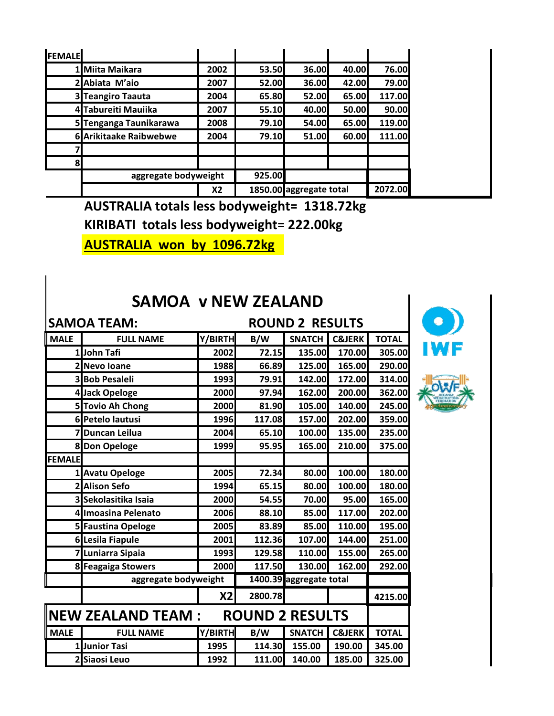| <b>FEMALE</b> |                               |      |        |                         |       |         |
|---------------|-------------------------------|------|--------|-------------------------|-------|---------|
|               | 1 Miita Maikara               | 2002 | 53.50  | 36.00                   | 40.00 | 76.00   |
|               | 2 Abiata M'aio                | 2007 | 52.00  | 36.00                   | 42.00 | 79.00   |
|               | 3 Teangiro Taauta             | 2004 | 65.80  | 52.00                   | 65.00 | 117.00  |
|               | 4 Tabureiti Mauiika           | 2007 | 55.10  | 40.00                   | 50.00 | 90.00   |
|               | 5 Tenganga Taunikarawa        | 2008 | 79.10  | 54.00                   | 65.00 | 119.00  |
|               | <b>6</b> Arikitaake Raibwebwe | 2004 | 79.10  | 51.00                   | 60.00 | 111.00  |
|               |                               |      |        |                         |       |         |
| 8             |                               |      |        |                         |       |         |
|               | aggregate bodyweight          |      | 925.00 |                         |       |         |
|               |                               | X2   |        | 1850.00 aggregate total |       | 2072.00 |

**AUSTRALIA totals less bodyweight= 1318.72kg**

**KIRIBATI totals less bodyweight= 222.00kg**

**AUSTRALIA won by 1096.72kg**

#### **SAMOA v NEW ZEALAND**

| <b>SAMOA TEAM:</b><br><b>ROUND 2 RESULTS</b> |                         |         |                        |                         |                   |              |
|----------------------------------------------|-------------------------|---------|------------------------|-------------------------|-------------------|--------------|
| <b>MALE</b>                                  | <b>FULL NAME</b>        | Y/BIRTH | B/W                    | <b>SNATCH</b>           | <b>C&amp;JERK</b> | <b>TOTAL</b> |
|                                              | 1John Tafi              | 2002    | 72.15                  | 135.00                  | 170.00            | 305.00       |
|                                              | 2 Nevo Ioane            | 1988    | 66.89                  | 125.00                  | 165.00            | 290.00       |
|                                              | <b>3</b> Bob Pesaleli   | 1993    | 79.91                  | 142.00                  | 172.00            | 314.00       |
|                                              | 4 Jack Opeloge          | 2000    | 97.94                  | 162.00                  | 200.00            | 362.00       |
|                                              | 5 Tovio Ah Chong        | 2000    | 81.90                  | 105.00                  | 140.00            | 245.00       |
|                                              | 6 Petelo lautusi        | 1996    | 117.08                 | 157.00                  | 202.00            | 359.00       |
|                                              | 7 Duncan Leilua         | 2004    | 65.10                  | 100.00                  | 135.00            | 235.00       |
|                                              | 8 Don Opeloge           | 1999    | 95.95                  | 165.00                  | 210.00            | 375.00       |
| <b>FEMALE</b>                                |                         |         |                        |                         |                   |              |
|                                              | 1 Avatu Opeloge         | 2005    | 72.34                  | 80.00                   | 100.00            | 180.00       |
| 2                                            | <b>Alison Sefo</b>      | 1994    | 65.15                  | 80.00                   | 100.00            | 180.00       |
|                                              | 3 Sekolasitika Isaia    | 2000    | 54.55                  | 70.00                   | 95.00             | 165.00       |
|                                              | 4 Imoasina Pelenato     | 2006    | 88.10                  | 85.00                   | 117.00            | 202.00       |
|                                              | 5 Faustina Opeloge      | 2005    | 83.89                  | 85.00                   | 110.00            | 195.00       |
|                                              | <b>6 Lesila Fiapule</b> | 2001    | 112.36                 | 107.00                  | 144.00            | 251.00       |
|                                              | 7 Luniarra Sipaia       | 1993    | 129.58                 | 110.00                  | 155.00            | 265.00       |
|                                              | 8 Feagaiga Stowers      | 2000    | 117.50                 | 130.00                  | 162.00            | 292.00       |
|                                              | aggregate bodyweight    |         |                        | 1400.39 aggregate total |                   |              |
|                                              |                         | X2      | 2800.78                |                         |                   | 4215.00      |
|                                              | $\ $ NEW ZEALAND TEAM : |         | <b>ROUND 2 RESULTS</b> |                         |                   |              |
| <b>MALE</b>                                  | <b>FULL NAME</b>        | Y/BIRTH | B/W                    | <b>SNATCH</b>           | <b>C&amp;JERK</b> | <b>TOTAL</b> |
|                                              | 1 Junior Tasi           | 1995    | 114.30                 | 155.00                  | 190.00            | 345.00       |
|                                              | 2 Siaosi Leuo           | 1992    | 111.00                 | 140.00                  | 185.00            | 325.00       |



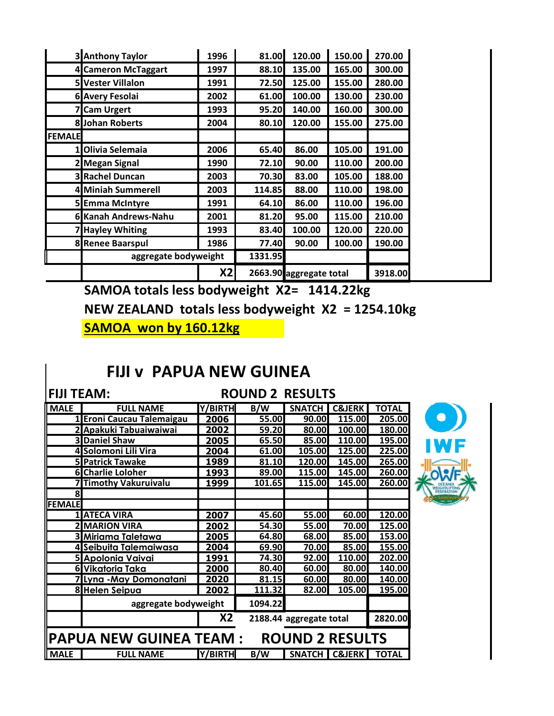|               | <b>3</b> Anthony Taylor | 1996 | 81.00   | 120.00                  | 150.00 | 270.00  |  |
|---------------|-------------------------|------|---------|-------------------------|--------|---------|--|
|               | 4 Cameron McTaggart     | 1997 | 88.10   | 135.00                  | 165.00 | 300.00  |  |
|               | 5 Vester Villalon       | 1991 | 72.50   | 125.00                  | 155.00 | 280.00  |  |
|               | <b>6 Avery Fesolai</b>  | 2002 | 61.00   | 100.00                  | 130.00 | 230.00  |  |
|               | <b>Cam Urgert</b>       | 1993 | 95.20   | 140.00                  | 160.00 | 300.00  |  |
|               | <b>8</b> Johan Roberts  | 2004 | 80.10   | 120.00                  | 155.00 | 275.00  |  |
| <b>FEMALE</b> |                         |      |         |                         |        |         |  |
|               | 1 Olivia Selemaia       | 2006 | 65.40   | 86.00                   | 105.00 | 191.00  |  |
|               | 2 Megan Signal          | 1990 | 72.10   | 90.00                   | 110.00 | 200.00  |  |
|               | <b>3 Rachel Duncan</b>  | 2003 | 70.30   | 83.00                   | 105.00 | 188.00  |  |
|               | 4 Miniah Summerell      | 2003 | 114.85  | 88.00                   | 110.00 | 198.00  |  |
|               | 5 Emma McIntyre         | 1991 | 64.10   | 86.00                   | 110.00 | 196.00  |  |
|               | 6 Kanah Andrews-Nahu    | 2001 | 81.20   | 95.00                   | 115.00 | 210.00  |  |
|               | 7 Hayley Whiting        | 1993 | 83.40   | 100.00                  | 120.00 | 220.00  |  |
|               | 8 Renee Baarspul        | 1986 | 77.40   | 90.00                   | 100.00 | 190.00  |  |
|               | aggregate bodyweight    |      | 1331.95 |                         |        |         |  |
|               |                         | X2   |         | 2663.90 aggregate total |        | 3918.00 |  |

**SAMOA totals less bodyweight X2= 1414.22kg NEW ZEALAND totals less bodyweight X2 = 1254.10kg SAMOA won by 160.12kg**

#### **FIJI v PAPUA NEW GUINEA**

#### **FIJI TEAM: ROUND 2 RESULTS**

| <b>MALE</b>   | <b>FULL NAME</b>               | Y/BIRTH | B/W     | <b>SNATCH</b>           | <b>C&amp;JERK</b> | <b>TOTAL</b> |
|---------------|--------------------------------|---------|---------|-------------------------|-------------------|--------------|
|               | 1 Eroni Caucau Talemaigau      | 2006    | 55.00   | 90.00                   | 115.00            | 205.00       |
|               | 2 Apakuki Tabuaiwaiwai         | 2002    | 59.20   | 80.00                   | 100.00            | 180.00       |
|               | <b>3 Daniel Shaw</b>           | 2005    | 65.50   | 85.00                   | 110.00            | 195.00       |
|               | 4 Solomoni Lili Vira           | 2004    | 61.00   | 105.00                  | 125.00            | 225.00       |
|               | 5 Patrick Tawake               | 1989    | 81.10   | 120.00                  | 145.00            | 265.00       |
|               | <b>6 Charlie Loloher</b>       | 1993    | 89.00   | 115.00                  | 145.00            | 260.00       |
|               | 7 Timothy Vakuruivalu          | 1999    | 101.65  | 115.00                  | 145.00            | 260.00       |
| 8             |                                |         |         |                         |                   |              |
| <b>FEMALE</b> |                                |         |         |                         |                   |              |
|               | <b>1 ATECA VIRA</b>            | 2007    | 45.60   | 55.00                   | 60.00             | 120.00       |
|               | <b>2 MARION VIRA</b>           | 2002    | 54.30   | 55.00                   | 70.00             | 125.00       |
|               | 3 Miriama Taletawa             | 2005    | 64.80   | 68.00                   | 85.00             | 153.00       |
|               | 4 Seibuita Talemaiwasa         | 2004    | 69.90   | 70.00                   | 85.00             | 155.00       |
|               | 5 Apolonia Vaivai              | 1991    | 74.30   | 92.00                   | 110.00            | 202.00       |
|               | 6 Vikatoria Taka               | 2000    | 80.40   | 60.00                   | 80.00             | 140.00       |
|               | <u> 7 Lyna -May Domonatani</u> | 2020    | 81.15   | 60.00                   | 80.00             | 140.00       |
|               | <b>8 Helen Seipua</b>          | 2002    | 111.32  | 82.00                   | 105.00            | 195.00       |
|               | aggregate bodyweight           |         | 1094.22 |                         |                   |              |
|               |                                | X2      |         | 2188.44 aggregate total |                   | 2820.00      |
|               | <b>PAPUA NEW GUINEA TEAM:</b>  |         |         | <b>ROUND 2 RESULTS</b>  |                   |              |
| <b>MALE</b>   | <b>FULL NAME</b>               | Y/BIRTH | B/W     |                         | SNATCH   C&JERK   | <b>TOTAL</b> |